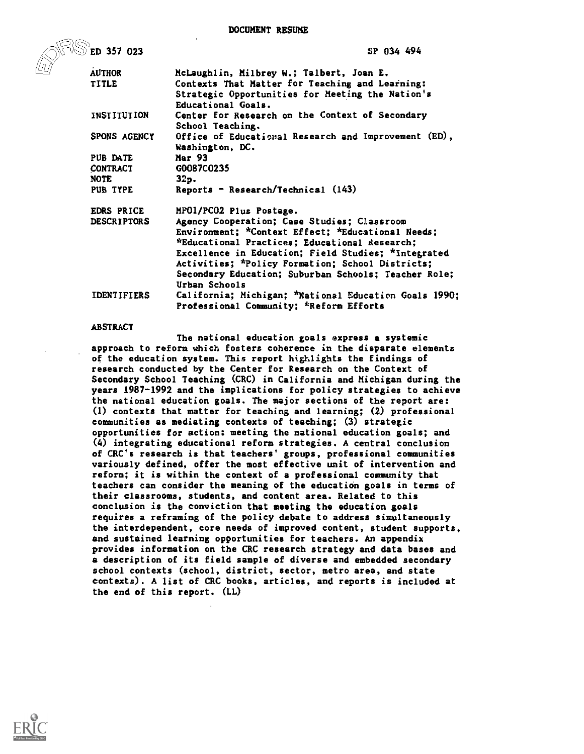DOCUMENT RESUME

| $\mathbb{S}$ ed 357 023 | SP 034 494                                                                                                                |  |  |  |
|-------------------------|---------------------------------------------------------------------------------------------------------------------------|--|--|--|
| <b>AUTHOR</b>           | McLaughlin, Milbrey W.; Talbert, Joan E.                                                                                  |  |  |  |
| <b>TITLE</b>            | Contexts That Matter for Teaching and Learning:<br>Strategic Opportunities for Meeting the Nation's<br>Educational Goals. |  |  |  |
| INSTITUTION             | Center for Research on the Context of Secondary<br>School Teaching.                                                       |  |  |  |
| <b>SPONS AGENCY</b>     | Office of Educational Research and Improvement (ED),<br>Washington, DC.                                                   |  |  |  |
| PUB DATE                | <b>Mar 93</b>                                                                                                             |  |  |  |
| <b>CONTRACT</b>         | G0087C0235                                                                                                                |  |  |  |
| <b>NOTE</b>             | 32p.                                                                                                                      |  |  |  |
| PUB TYPE                | Reports - Research/Technical (143)                                                                                        |  |  |  |
| <b>EDRS PRICE</b>       | MFO1/PCO2 Plus Postage.                                                                                                   |  |  |  |
| <b>DESCRIPTORS</b>      | Agency Cooperation; Case Studies; Classroom                                                                               |  |  |  |
|                         | Environment; *Context Effect; *Educational Needs;                                                                         |  |  |  |
|                         | *Educational Practices; Educational Research;                                                                             |  |  |  |
|                         | Excellence in Education; Field Studies; *Integrated                                                                       |  |  |  |
|                         | Activities; *Policy Formation; School Districts;                                                                          |  |  |  |
|                         | Secondary Education; Suburban Schools; Teacher Role;                                                                      |  |  |  |
|                         | Urban Schools                                                                                                             |  |  |  |
| <b>IDENTIFIERS</b>      | California; Michigan; *National Education Goals 1990;                                                                     |  |  |  |
|                         | Professional Community; *Reform Efforts                                                                                   |  |  |  |

#### ABSTRACT

The national education goals express a systemic approach to reform which fosters coherence in the disparate elements of the education system. This report highlights the findings of research conducted by the Center for Research on the Context of Secondary School Teaching (CRC) in California and Michigan during the years 1987-1992 and the implications for policy strategies to achieve the national education goals. The major sections of the report are: (1) contexts that matter for teaching and learning; (2) professional communities as mediating contexts of teaching; (3) strategic opportunities for action: meeting the national education goals; and (4) integrating educational reform strategies. A central conclusion of CRC's research is that teachers' groups, professional communities variously defined, offer the most effective unit of intervention and reform; it is within the context of a professional community that teachers can consider the meaning of the education goals in terms of their classrooms, students, and content area. Related to this conclusion is the conviction that meeting the education goals requires a reframing of the policy debate to address simultaneously the interdependent, core needs of improved content, student supports, and sustained learning opportunities for teachers. An appendix provides information on the CRC research strategy and data bases and a description of its field sample of diverse and embedded secondary school contexts (school, district, sector, metro area, and state contexts). A list of CRC books, articles, and reports is included at the end of this report. (LL)

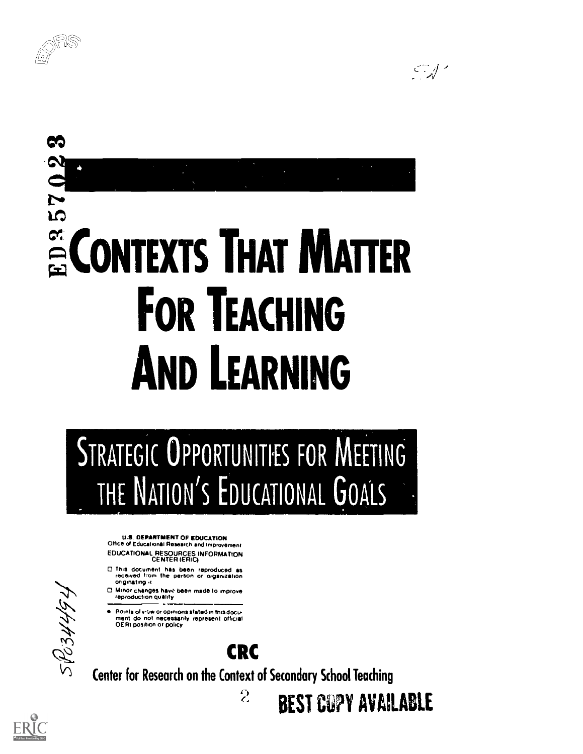



# 57023 E CONTEXTS THAT MATTER FOR TEACHING AND LEARNING

# STRATEGIC OPPORTUNITIES FOR MEETING THE NATION'S EDUCATIONAL GOALS

U.S. DEPARTMENT OF EDUCATION Office of Educational Research and Improvement EDUCATIONAL RESOURCES INFORMATION CENTER (ERIC)

- 0 this document has been reproduced as received from the perSon or organization Originating .1
- $\Box$  Minor changes have been made to improve reproduction quality
- Points of vitw or opinions stated in this docu-<br>ment ido inot inecessarily represent official<br>OERI position or policy

# $\mathcal{N}$  $\mathcal{L}$ 'A. (Y)

CRC

Center for Research on the Context of Secondary School Teaching

 $\mathcal{L}$ 

BEST COPY AVAILABLE

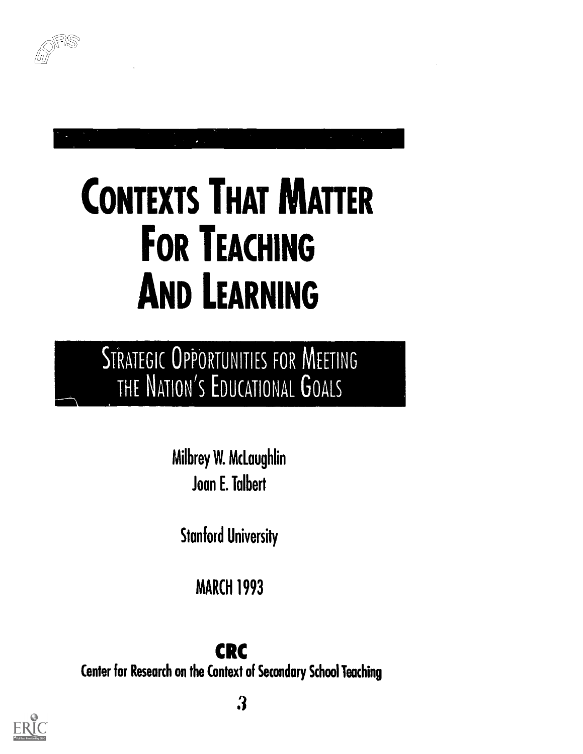

# CONTEXTS THAT MATTER FOR TEACHING AND LEARNING

MS STRATEGIC OPPORTUNITIES FOR MEETING ON'S EDUCATIONAL **U**OALS

> Milbrey W. McLaughlin Joan E. Talbert

Stanford University

MARCH 1993

CRC

Center for Research on the Context of Secondary School Teaching

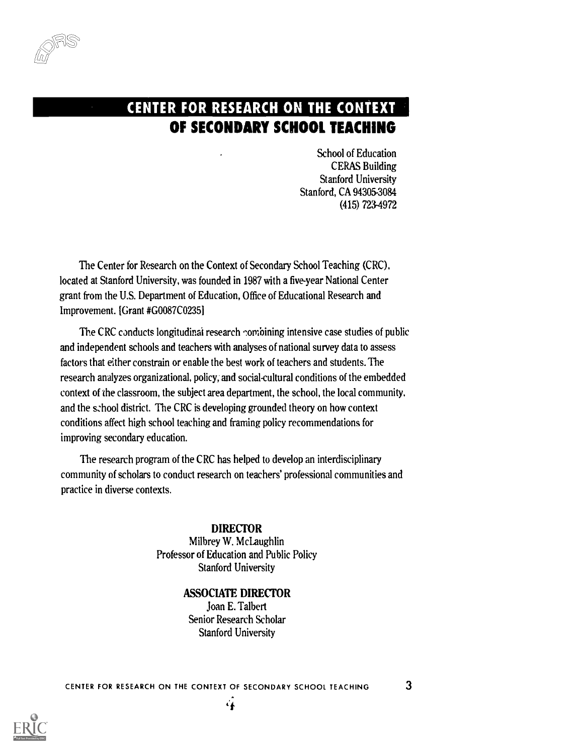

# CENTER FOR RESEARCH ON THE CONTEXT OF SECONDARY SCHOOL TEACHING

School of Education CERAS Building Stanford University Stanford, CA 94305-3084 (415) 723-4972

The Center for Research on the Context of Secondary School Teaching (CRC). located at Stanford University, was founded in 1987 with a five-year National Center grant from the U.S. Department of Education, Office of Educational Research and Improvement. [Grant #G0087CO235]

The CRC conducts longitudinal research combining intensive case studies of public and independent schools and teachers with analyses of national survey data to assess factors that either constrain or enable the best work of teachers and students. The research analyzes organizational, policy, and social-cultural conditions of the embedded context of the classroom, the subject area department, the school, the local community, and the school district. The CRC is developing grounded theory on how context conditions affect high school teaching and framing policy recommendations for improving secondary education.

The research program of the CRC has helped to develop an interdisciplinary community of scholars to conduct research on teachers' professional communities and practice in diverse contexts.

> DIRECTOR Milbrey W. McLaughlin Professor of Education and Public Policy Stanford University

#### ASSOCIATE DIRECTOR

Joan E. Talbert Senior Research Scholar Stanford University

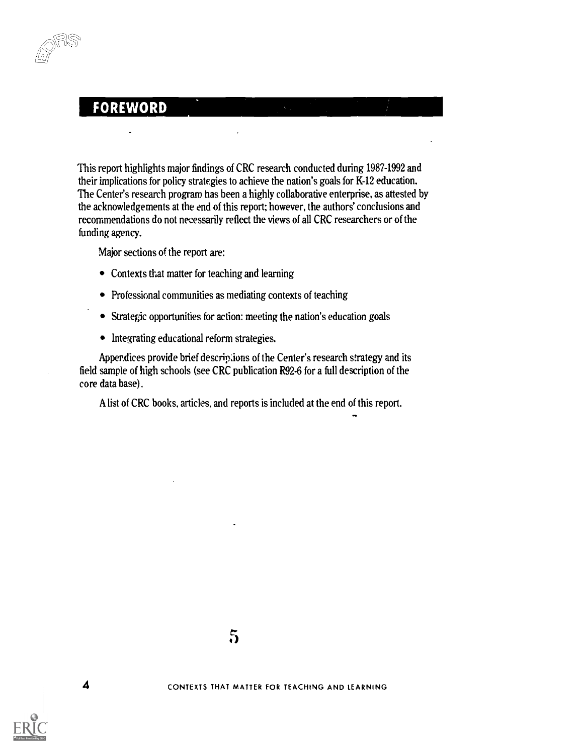#### FOREWORD

This report highlights major findings of CRC research conducted during 1987-1992 and their implications for policy strategies to achieve the nation's goals for K-12 education. The Center's research program has been a highly collaborative enterprise, as attested by the acknowledgements at the end of this report; however, the authors' conclusions and recommendations do not necessarily reflect the views of all CRC researchers or of the funding agency.

Major sections of the report are:

- Contexts that matter for teaching and learning
- Professional communities as mediating contexts of teaching
- Strategic opportunities for action: meeting the nation's education goals
- Integrating educational reform strategies.

Appendices provide brief descripions of the Center's research strategy and its field sample of high schools (see CRC publication R92-6 for a full description of the core data base).

A list of CRC books, articles, and reports is included at the end of this report.

od in the second second second second second second second second second second second second second second second second second second second second second second second second second second second second second second se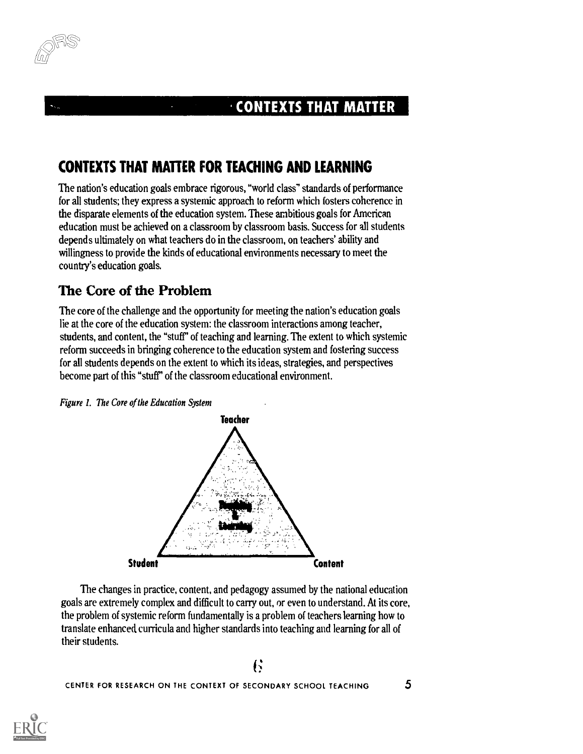

#### $\cdot$  CONTEXTS THAT MATTER

# CONTEXTS THAT MATTER FOR TEACHING AND LEARNING

The nation's education goals embrace rigorous, "world class" standards of performance for all students; they express a systemic approach to reform which fosters coherence in the disparate elements of the education system. These ambitious goals for American education must be achieved on a classroom by classroom basis. Success for all students depends ultimately on what teachers do in the classroom, on teachers' ability and willingness to provide the kinds of educational environments necessary to meet the country's education goals.

#### The Core of the Problem

The core of the challenge and the opportunity for meeting the nation's education goals lie at the core of the education system: the classroom interactions among teacher, students, and content, the "stuff" of teaching and learning. The extent to which systemic reform succeeds in bringing coherence to the education system and fostering success for all students depends on the extent to which its ideas, strategies, and perspectives become part of this "stuff" of the classroom educational environment.





The changes in practice, content, and pedagogy assumed by the national education goals are extremely complex and difficult to carry out, or even to understand. At its core, the problem of systemic reform fundamentally is a problem of teachers learning how to translate enhanced curricula and higher standards into teaching and learning for all of their students.

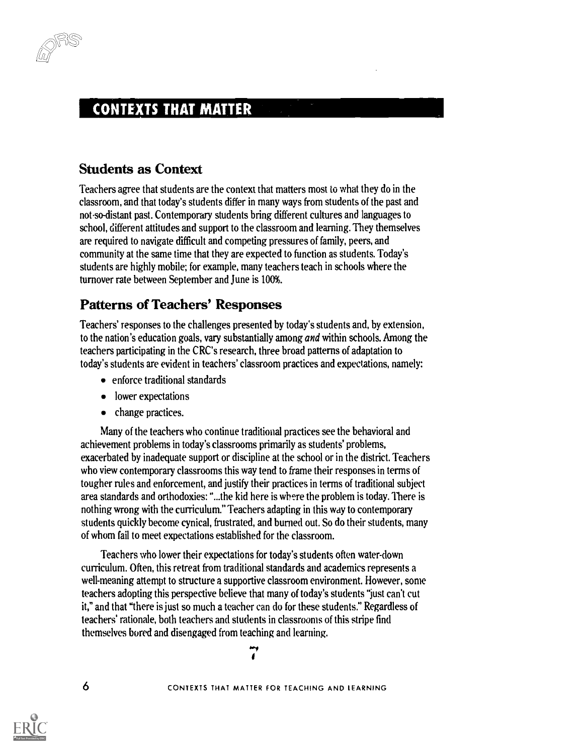

*-* 1922

#### CONTEXTS THAT MATTER

#### Students as Context

Teachers agree that students are the context that matters most to what they do in the classroom, and that today's students differ in many ways from students of the past and notso-distant past. Contemporary students bring different cultures and languages to school, different attitudes and support to the classroom and learning. They themselves are required to navigate difficult and competing pressures of family, peers, and community at the same time that they are expected to function as students. Today's students are highly mobile; for example, many teachers teach in schools where the turnover rate between September and June is 100%.

#### Patterns of Teachers' Responses

Teachers' responses to the challenges presented by today's students and, by extension, to the nation's education goals, vary substantially among *and* within schools. Among the teachers participating in the CRC's research, three broad patterns of adaptation to today's students are evident in teachers' classroom practices and expectations, namely:

- enforce traditional standards
- lower expectations
- change practices.

Many of the teachers who continue traditional practices see the behavioral and achievement problems in today's classrooms primarily as students' problems, exacerbated by inadequate support or discipline at the school or in the district. Teachers who view contemporary classrooms this way tend to frame their responses in terms of tougher rules and enforcement, and justify their practices in terms of traditional subject area standards and orthodoxies: "...the kid here is where the problem is today. There is nothing wrong with the curriculum." Teachers adapting in this way to contemporary students quickly become cynical, frustrated, and burned out. So do their students, many of whom fail to meet expectations established for the classroom.

Teachers who lower their expectations for today's students often water-down curriculum. Often, this retreat from traditional standards and academics represents a well-meaning attempt to structure a supportive classroom environment. However, some teachers adopting this perspective believe that many of today's students "just can't cut it," and that "there is just so much a teacher can do for these students." Regardless of teachers' rationale, both teachers and students in classrooms of this stripe find themselves bored and disengaged from teaching and learning. -

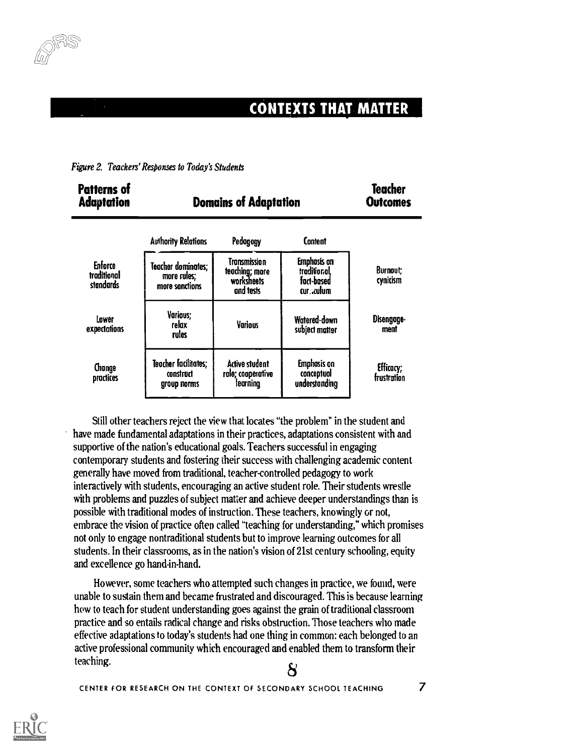

## CONTEXTS THAT MATTER

|  |  |  | Figure 2. Teachers' Responses to Today's Students |  |
|--|--|--|---------------------------------------------------|--|
|--|--|--|---------------------------------------------------|--|

| <b>Patterns of</b><br><b>Adaptation</b>    | <b>Domains of Adaptation</b>                        | Teacher<br><b>Outcomes</b>                                |                                                                       |                          |
|--------------------------------------------|-----------------------------------------------------|-----------------------------------------------------------|-----------------------------------------------------------------------|--------------------------|
|                                            | <b>Authority Relations</b>                          | Pedagogy                                                  | Content                                                               |                          |
| <b>Enforce</b><br>traditional<br>standards | Teacher dominates;<br>more rules;<br>more sanctions | Transmission<br>teaching; more<br>worksheets<br>and tests | <b>Emphasis</b> on<br>troditional.<br>fact-based<br>cur. <i>culum</i> | Burnout:<br>cynicism     |
| Lower<br>expectations                      | <b>Various:</b><br>relax<br>rules                   | <b>Various</b>                                            | Watered-down<br>subject matter                                        | Disengage-<br>ment       |
| Change<br>practices                        | Teacher facilitates;<br>construct<br>group norms    | <b>Active student</b><br>role; cooperative<br>learning    | <b>Emphasis</b> on<br>conceptuol<br>understanding                     | Efficacy;<br>frustration |

Still other teachers reject the view that locates "the problem" in the student and have made fundamental adaptations in their practices, adaptations consistent with and supportive of the nation's educational goals. Teachers successful in engaging contemporary students and fostering their success with challenging academic content generally have moved from traditional, teacher-controlled pedagogy to work interactively with students, encouraging an active student role. Their students wrestle with problems and puzzles of subject matter and achieve deeper understandings than is possible with traditional modes of instruction. These teachers, knowingly or not, embrace the vision of practice often called "teaching for understanding," which promises not only to engage nontraditional students but to improve learning outcomes for all students. In their classrooms, as in the nation's vision of 21st century schooling, equity and excellence go hand-in-hand.

However, some teachers who attempted such changes in practice, we found, were unable to sustain them and became frustrated and discouraged. This is because learning how to teach for student understanding goes against the grain of traditional classroom practice and so entails radical change and risks obstruction. Those teachers who made effective adaptations to today's students had one thing in common: each belonged to an active professional community which encouraged and enabled them to transform their teaching. 8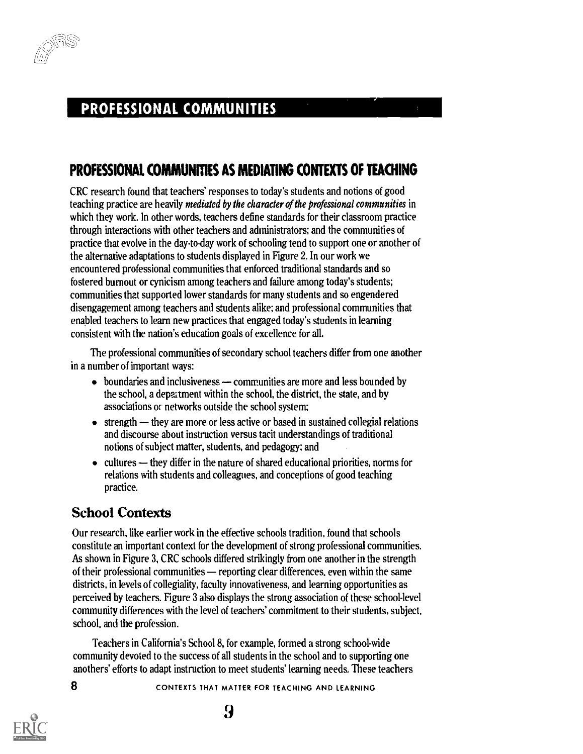

#### PROFESSIONAL COMMUNITIES

#### PROFESSIONAL COMMUNITIES AS MEDIATING CONTEXTS OF TEACHING

CRC research found that teachers' responses to today's students and notions of good teaching practice are heavily mediated by the character of the professional communities in which they work. In other words, teachers define standards for their classroom practice through interactions with other teachers and administrators; and the communities of practice that evolve in the day-to-day work of schooling tend to support one or another of the alternative adaptations to students displayed in Figure 2. In our work we encountered professional communities that enforced traditional standards and so fostered burnout or cynicism among teachers and failure among today's students; communities that supported lower standards for many students and so engendered disengagement among teachers and students alike; and professional communities that enabled teachers to learn new practices that engaged today's students in learning consistent with the nation's education goals of excellence for all.

The professional communities of secondary school teachers differ from one another in a number of important ways:

- $\bullet$  boundaries and inclusiveness  $\leftarrow$  communities are more and less bounded by the school, a depaitment within the school, the district, the state, and by associations or networks outside the school system;
- $\bullet$  strength  $\bullet$  they are more or less active or based in sustained collegial relations and discourse about instruction versus tacit understandings of traditional notions of subject matter, students, and pedagogy; and
- $\bullet$  cultures  $\leftarrow$  they differ in the nature of shared educational priorities, norms for relations with students and colleagues, and conceptions of good teaching practice.

#### School Contexts

Our research, like earlier work in the effective schools tradition, found that schools constitute an important context for the development of strong professional communities. As shown in Figure 3, CRC schools differed strikingly from one another in the strength of their professional communities — reporting clear differences, even within the same districts, in levels of collegiality, faculty innovativeness, and learning opportunities as perceived by teachers. Figure 3 also displays the strong association of these schoollevel community differences with the level of teachers' commitment to their students, subject, school, and the profession.

Teachers in California's School 8, for example, formed a strong school-wide community devoted to the success of all students in the school and to supporting one anothers' efforts to adapt instruction to meet students' learning needs. These teachers

8 CONTEXTS THAT MATTER FOR TEACHING AND LEARNING



9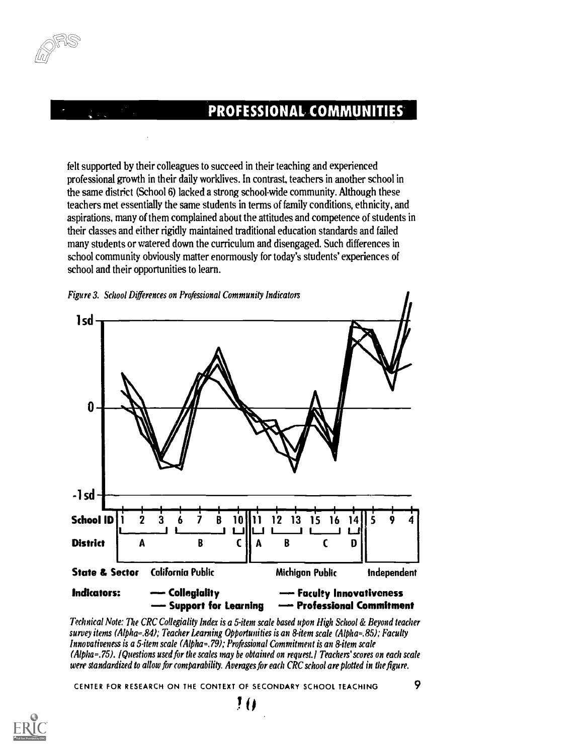## PROFESSIONAL COMMUNITIES

felt supported by their colleagues to succeed in their teaching and experienced professional growth in their daily worklives. In contrast, teachers in another school in the same district (School 6) lacked a strong school-wide community. Although these teachers met essentially the same students in terms of family conditions, ethnicity, and aspirations, many of them complained about the attitudes and competence of students in their classes and either rigidly maintained traditional education standards and failed many students or watered down the curriculum and disengaged. Such differences in school community obviously matter enormously for today's students' experiences of school and their opportunities to learn.





Technical Note: The CRC Collegiality Index is a 5-item scale based upon High School & Beyond teacher survey items (Alpha=.84); Teacher Learning Opportunities is an 8-item scale (Alpha=.85); Faculty Innovativeness is a 5-item scale (Alpha=.79); Professional Commitment is an 8-item scale (Alpha=.75). /Questions used for the scales may be obtained on request.l Teachers' scores on each scale were standardized to allow for comparability. Averages for each CRC school are plotted in the figure.

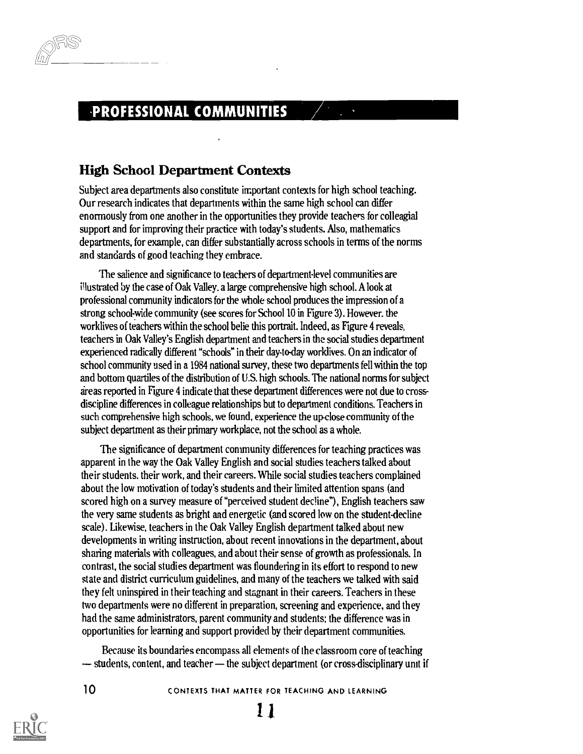#### -PROFESSIONAL COMMUNITIES

#### High School Department Contexts

Subject area departments also constitute important contexts for high school teaching. Our research indicates that departments within the same high school can differ enormously from one another in the opportunities they provide teachers for colleagial support and for improving their practice with today's students. Also, mathematics departments, for example, can differ substantially across schools in terms of the norms and standards of good teaching they embrace.

'The salience and significance to teachers of department-level communities are illustrated by the case of Oak Valley. a large comprehensive high school. A look at professional community indicators for the whole school produces the impression of a strong school-wide community (see scores for School 10 in Figure 3). However, the worklives of teachers within the school belie this portrait. Indeed, as Figure 4 reveals, teachers in Oak Valley's English department and teachers in the social studies department experienced radically different "schools" in their day-to-day worklives. On an indicator of school community used in a 1984 national survey, these two departments fell within the top and bottom quartiles of the distribution of U.S. high schools. The national norms for subject areas reported in Figure 4 indicate that these department differences were not due to crossdiscipline differences in colleague relationships but to department conditions. Teachers in such comprehensive high schools, we found, experience the up-close community of the subject department as their primary workplace, not the school as a whole.

The significance of department community differences for teaching practices was apparent in the way the Oak Valley English and social studies teachers talked about their students, their work, and their careers. While social studies teachers complained about the low motivation of today's students and their limited attention spans (and scored high on a survey measure of "perceived student decline"), English teachers saw the very same students as bright and energetic (and scored low on the student-decline scale). Likewise, teachers in the Oak Valley English department talked about new developments in writing instruction, about recent innovations in the department, about sharing materials with colleagues, and about their sense of growth as professionals. In contrast, the social studies department was floundering in its effort to respond to new state and district curriculum guidelines, and many of the teachers we talked with said they felt uninspired in their teaching and stagnant in their careers. Teachers in these two departments were no different in preparation, screening and experience, and they had the same administrators, parent community and students: the difference was in opportunities for learning and support provided by their department communities.

Because its boundaries encompass all elements of the classroom core of teaching  $-$  students, content, and teacher – the subject department (or cross-disciplinary unit if

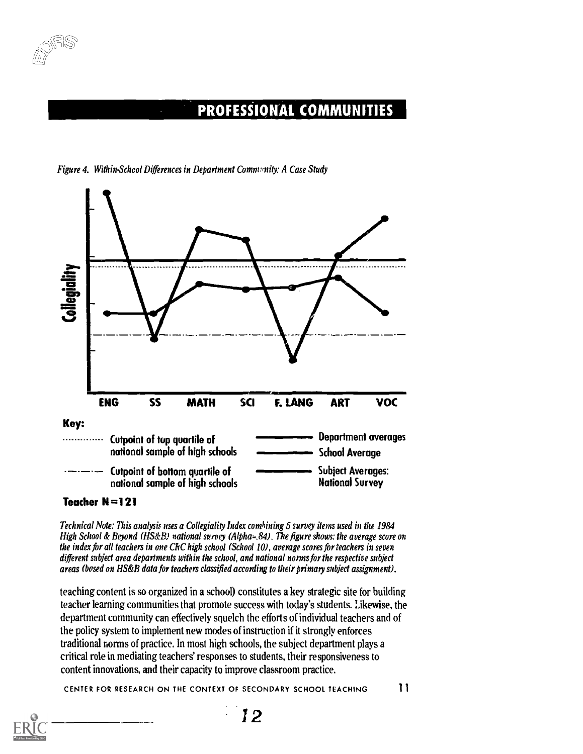

#### PROFESSIONAL COMMUNITIES



Figure 4. Within-School Differences in Department Comm:'nity: A Case Study

Teacher N=121

Technical Note: This analysis uses a Collegiality Index combining 5 survey items used in the 1984 High School & Beyond ( $HS\&B$ ) national survey (Alpha=.84). The figure shows: the average score on the index for all teachers in one CkC high school (School 10), average scores for teachers in seven different subject area departments within the school, and national norms for the respective subject areas (bused on HS&B data for teachers classified according to their primary subject assignment).

teaching content is so organized in a school) constitutes a key strategic site for building teacher learning communities that promote success with today's students. Likewise, the department community can effectively squelch the efforts of individual teachers and of the policy system to implement new modes of instruction if it strongly enforces traditional norms of practice. In most high schools, the subject department plays a critical role in mediating teachers' responses to students, their responsiveness to content innovations, and their capacity to improve classroom practice.

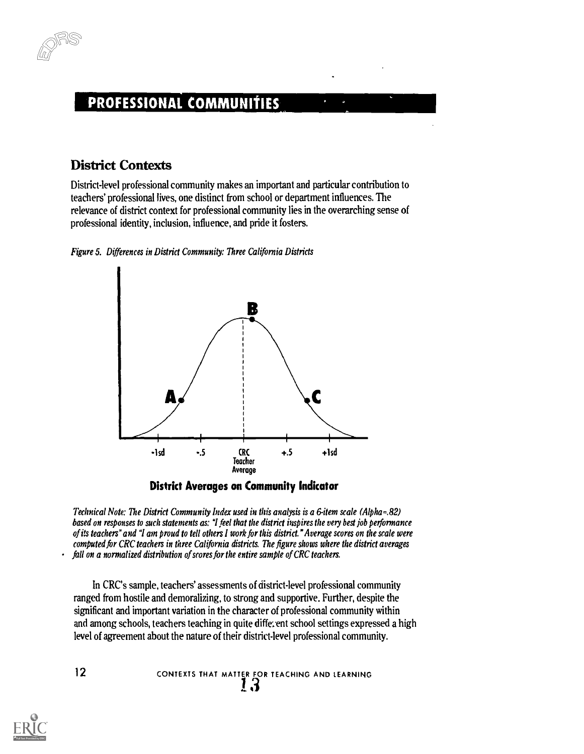

#### PROFESSIONAL COMMUNItIES

#### District Contexts

District-level professional community makes an important and particular contribution to teachers' professional lives, one distinct from school or department influences. The relevance of district context for professional community lies in the overarching sense of professional identity, inclusion, influence, and pride it fosters.







Technical Note: The District Community Index used in this analysis is a 6-item scale (Alpha=.82) based on responses to such statements as: "I feel that the district inspires the very best job performance of its teachers" and "I am proud to tell others I work for this district." Average scores on the scale were computed for CRC teachers in three California districts. The figure shows where the district averages fall on a normalized distribution of scores for the entire sample of CRC teachers.

In CRC's sample, teachers' assessments of district-level professional community ranged from hostile and demoralizing, to strong and supportive. Further, despite the significant and important variation in the character of professional community within and among schools, teachers teaching in quite different school settings expressed a high level of agreement about the nature of their district-level professional community.

12 
$$
\sim
$$
 12  $\sim$  2  $\sim$  13  $\sim$  13

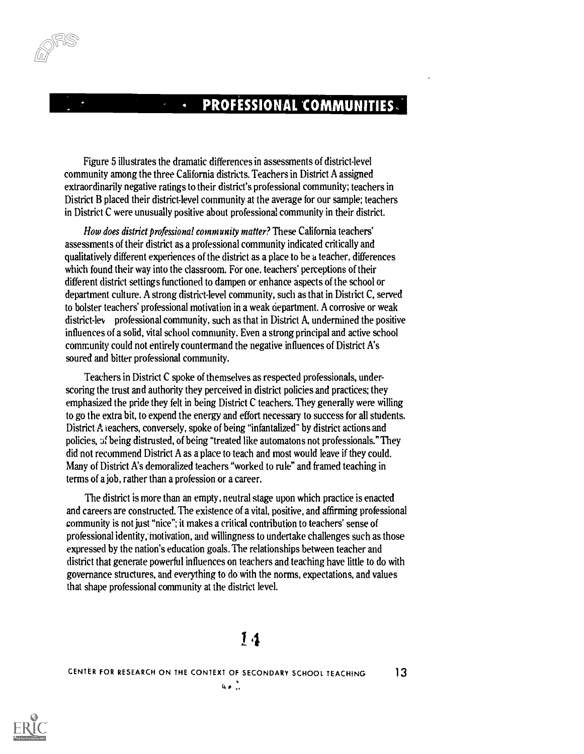#### PROFESSIONAL COMMUNITIES.

Figure 5 illustrates the dramatic differences in assessments of district-level community among the three California districts. Teachers in District A assigned extraordinarily negative ratings to their district's professional community; teachers in District B placed their district-level community at the average for our sample; teachers in District C were unusually positive about professional community in their district.

 $\overline{\mathbf{q}}$ 

How does district professional community matter? These California teachers' assessments of their district as a professional community indicated critically and qualitatively different experiences of the district as a place to be a teacher, differences which found their way into the classroom. For one, teachers' perceptions of their different district settings functioned to dampen or enhance aspects of the school or department culture. A strong district-level community, such as that in District C, served to bolster teachers' professional motivation in a weak department. A corrosive or weak district-ley professional community, such as that in District A, undermined the positive influences of a solid, vital school community. Even a strong principal and active school community could not entirely countermand the negative influences of District A's soured and bitter professional community.

Teachers in District C spoke of themselves as respected professionals, underscoring the trust and authority they perceived in district policies and practices; they emphasized the pride they felt in being District C teachers. They generally were willing to go the extra bit, to expend the energy and effort necessary to success for all students. District A teachers, conversely, spoke of being "infantalized" by district actions and policies, Jf being distrusted, of being "treated like automatons not professionals." They did not recommend District A as a place to teach and most would leave if they could. Many of District A's demoralized teachers "worked to rule" and framed teaching in terms of a job, rather than a profession or a career.

The district is more than an empty, neutral stage upon which practice is enacted and careers are constructed. The existence of a vital, positive, and affirming professional community is not just "nice"; it makes a critical contribution to teachers' sense of professional identity, motivation, and willingness to undertake challenges such as those expressed by the nation's education goals. The relationships between teacher and district that generate powerful influences on teachers and teaching have little to do with governance structures, and everything to do with the norms, expectations, and values that shape professional community at the district level.

## 14

 $40.1$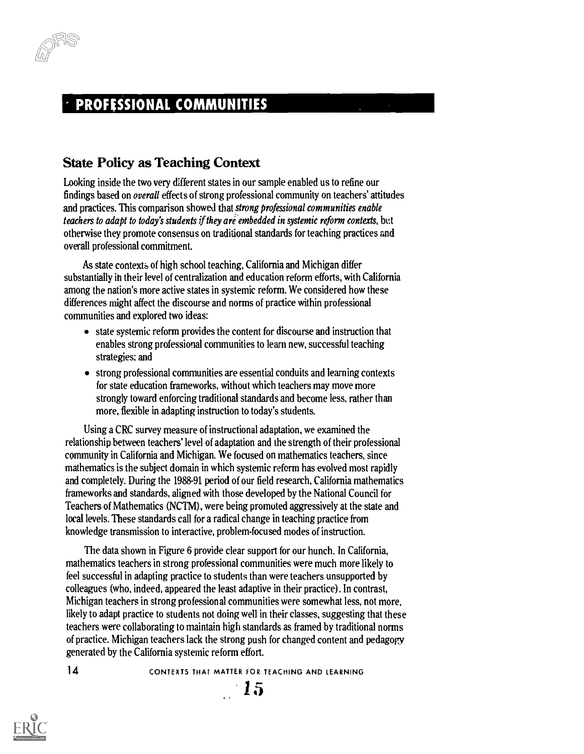## PROFESSIONAL COMMUNITIES

#### State Policy as Teaching Context

Looking inside the two very different states in our sample enabled us to refine our findings based on overall effects of strong professional community on teachers' attitudes and practices. This comparison showed that strong professional communities enable teachers to adapt to today's students if they are embedded in systemic reform contexts, but otherwise they promote consensus on traditional standards for teaching practices and overall professional commitment.

As state contexts of high school teaching, California and Michigan differ substantially in their level of centralization and education reform efforts, with California among the nation's more active states in systemic reform. We considered how these differences might affect the discourse and norms of practice within professional communities and explored two ideas:

- state systemic reform provides the content for discourse and instruction that enables strong professional communities to learn new, successful teaching strategies; and
- strong professional communities are essential conduits and learning contexts for state education frameworks, without which teachers may move more strongly toward enforcing traditional standards and become less, rather than more, flexible in adapting instruction to today's students.

Using a CRC survey measure of instructional adaptation, we examined the relationship between teachers' level of adaptation and the strength of their professional community in California and Michigan. We focused on mathematics teachers, since mathematics is the subject domain in which systemic reform has evolved most rapidly and completely. During the 1988-91 period of our field research, California mathematics frameworks and standards, aligned with those developed by the National Council for Teachers of Mathematics (NCTM), were being promoted aggressively at the state and local levels. These standards call for a radical change in teaching practice from knowledge transmission to interactive, problem-focused modes of instruction.

The data shown in Figure 6 provide clear support for our hunch. In California, mathematics teachers in strong professional communities were much more likely to feel successful in adapting practice to students than were teachers unsupported by colleagues (who, indeed, appeared the least adaptive in their practice). In contrast, Michigan teachers in strong professional communities were somewhat less, not more. likely to adapt practice to students not doing well in their classes, suggesting that these teachers were collaborating to maintain high standards as framed by traditional norms of practice. Michigan teachers lack the strong push for changed content and pedagogy generated by the California systemic reform effort.

14 CONTEXTS THAT MATTER FOR TEACHING AND LEARNING

 $-15$ 

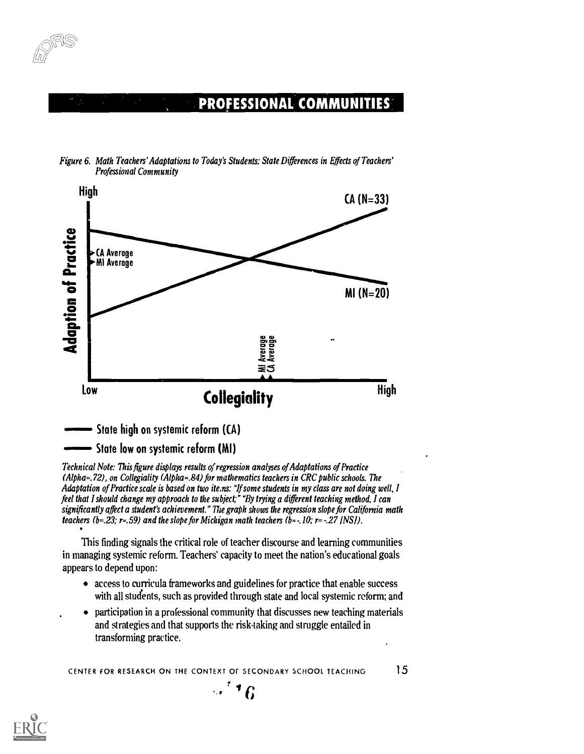



Figure 6. Math Teachers' Adaptations to Today's Students: State Differences in Effects of Teachers' Professional Community

**State high on systemic reform (CA)** 

State low on systemic reform (MI)

Technical Note: This figure displays results of regression analyses of Adaptations of Practice  $(Aibha=.72)$ , on Collegiality  $(Aibha=.84)$  for mathematics teachers in CRC public schools. The Adaptation of Practice scale is based on two ite.ns: "If some students in my class are not doing well, I feel that I should change my approach to the subject;" "By trying a different teaching method, I can significantly affect a student's achievement." The graph shows the regression slope for California math teachers (b=.23; r=.59) and the slope for Michigan math teachers (b=-.10; r=-.27 (NS)).

This finding signals the critical role of teacher discourse and learning communities in managing systemic reform. Teachers' capacity to meet the nation's educational goals appears to depend upon:

- access to curricula frameworks and guidelines for practice that enable success with all students, such as provided through state and local systemic reform; and
- participation in a professional community that discusses new teaching materials and strategies and that supports the risk-taking and struggle entailed in transforming practice.

CENTER FOR RESEARCH ON THE CONTEXT OF SECONDARY SCHOOL TEACHING 15



<sup>t</sup> .,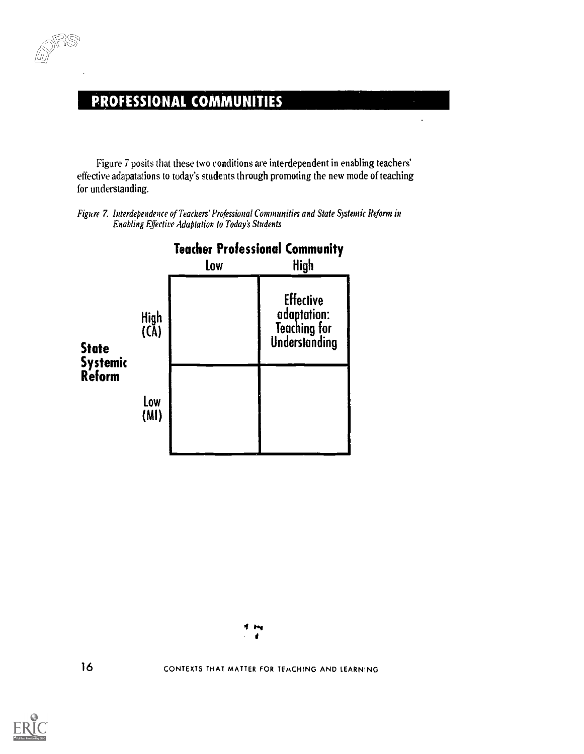#### PROFESSIONAL COMMUNITIES

Figure 7 posits that these two conditions are interdependent in enabling teachers' effective adapatations to today's students through promoting the new mode of teaching for understanding.

 $\ddot{\phantom{0}}$ 

Figure 7. Interdependence of Teachers' Professional Communities and State Systemic Reform in Enabling Effective Adaptation to Today's Students



4 m  $\bullet$ 

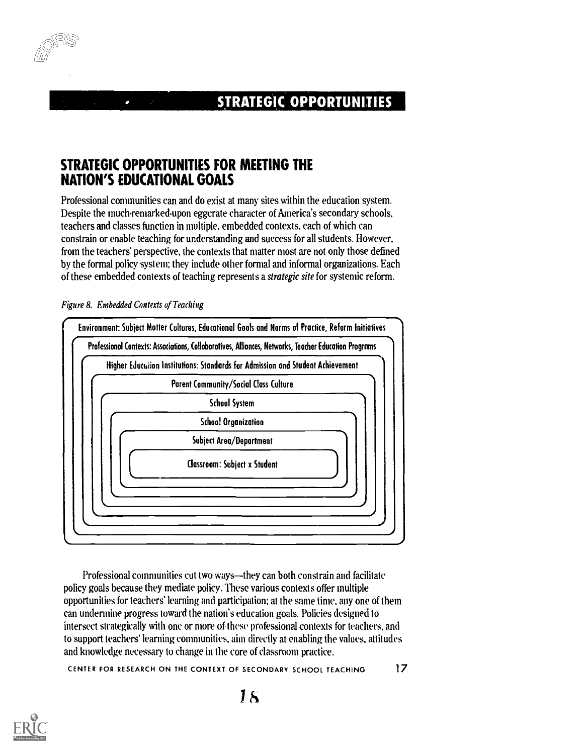#### **STRATEGIC OPPORTUNITIES**

#### STRATEGIC OPPORTUNITIES FOR MEETING THE NATION'S EDUCATIONAL GOALS

Professional communities can and do exist at many sites within the education system. Despite the much-remarked-upon eggcrate character of America's secondary schools, teachers and classes function in multiple, embedded contexts, each of which can constrain or enable teaching for understanding and success for all students. However. from the teachers' perspective, the contexts that matter most are not only those defined by the formal policy system; they include other formal and informal organizations. Each of these embedded contexts of teaching represents a strategic site for systemic reform.



Figure 8. Embedded Contexts of Teaching

Professional communities cut two ways—they can both constrain and facilitate policy goals because they mediate policy. These various contexts offer multiple opportunities for teachers' learning and participation; at the same time, any one of them can undermine progress toward the nation's education goals. Policies designed to intersect strategically with one or more of these professional contexts for teachers, and to support teachers' learning communities, aim directly at enabling the values, attitudes and knowledge necessary to change in the core of classroom practice.

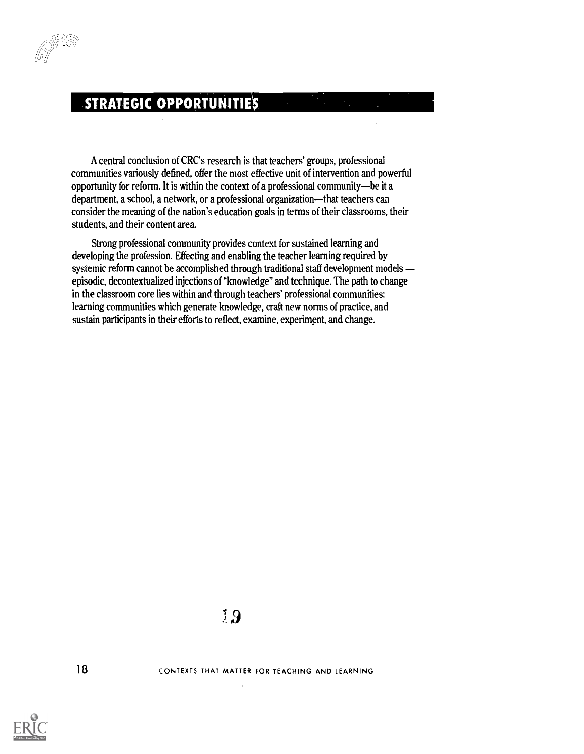#### **STRATEGIC OPPORTUNITIES**

A central conclusion of CRC's research is that teachers' groups, professional communities variously defined, offer the most effective unit of intervention and powerful opportunity for reform. It is within the context of a professional community-be it a department, a school, a network, or a professional organization—that teachers can consider the meaning of the nation's education goals in terms of their classrooms, their students, and their content area.

Strong professional community provides context for sustained learning and developing the profession. Effecting and enabling the teacher learning required by systemic reform cannot be accomplished through traditional staff development models episodic, decontextualized injections of "knowledge" and technique. The path to change in the classroom core lies within and through teachers' professional communities: learning communities which generate knowledge, craft new norms of practice, and sustain participants in their efforts to reflect, examine, experiment, and change.

18 CONTEXTS THAT MATTER FOR TEACHING AND LEARNING

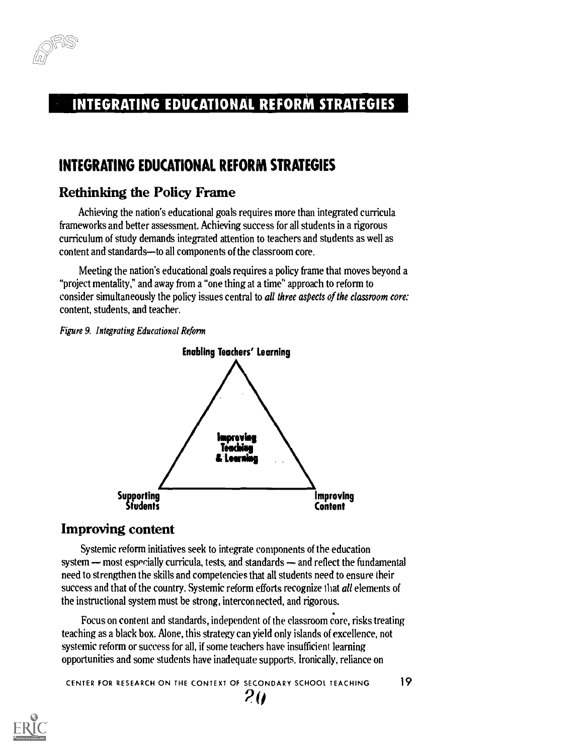

#### INTEGRATING EDUCATIONAL REFORM STRATEGIES

#### INTEGRATING EDUCATIONAL REFORM STRATEGIES

#### Rethinking the Policy Frame

Achieving the nation's educational goals requires more than integrated curricula frameworks and better assessment. Achieving success for all students in a rigorous curriculum of study demands integrated attention to teachers and students as well as content and standards-to all components of the classroom core.

Meeting the nation's educational goals requires a policy frame that moves beyond a "project mentality," and away from a "one thing at a time' approach to reform to consider simultaneously the policy issues central to all three aspects of the classroom core: content, students, and teacher.

Figure 9. Integrating Educational Reform



#### Improving content

Systemic reform initiatives seek to integrate components of the education system  $-$  most especially curricula, tests, and standards  $-$  and reflect the fundamental need to strengthen the skills and competencies that all students need to ensure their success and that of the country. Systemic reform efforts recognize that all elements of the instructional system must be strong, interconnected, and rigorous.

Focus on content and standards, independent of the classroom core, risks treating teaching as a black box. Alone, this strategy can yield only islands of excellence, not systemic reform or success for all, if some teachers have insufficient learning opportunities and some students have inadequate supports. ironically, reliance on

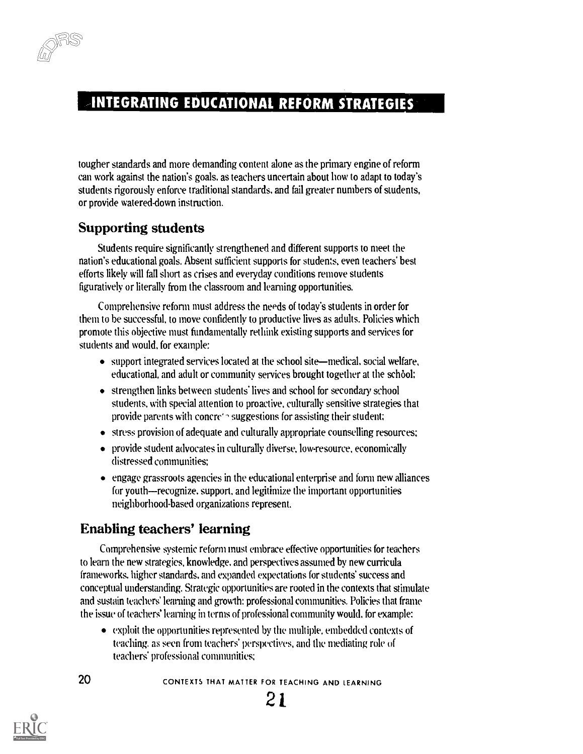#### INTEGRATING EDUCATIONAL REFORM STRATEGIES

tougher standards and more demanding content alone as the primary engine of reform can work against the nation's goals, as teachers uncertain about how to adapt to today's students rigorously enforce traditional standards, and fail greater numbers of students, or provide watered-down instruction.

#### Supporting students

Students require significantly strengthened and different supports to meet the nation's educational goals. Absent sufficient supports for students, even teachers' best efforts likely will fall short as crises and everyday conditions remove students figuratively or literally from the classroom and learning opportunities.

Comprehensive reform must address the needs of today's students in order for them to be successful, to move confidently to productive lives as adults. Policies which promote this objective must fundamentally rethink existing supports and services for students and would, for example:

- $\bullet$  support integrated services located at the school site—medical, social welfare, educational, and adult or community services brought together at the school:
- strengthen links between students' lives and school for secondary school students, with special attention to proactive, culturally sensitive strategies that provide parents with concre' suggestions for assisting their student:
- stress provision of adequate and culturally appropriate counselling resources;
- provide student advocates in culturally diverse, low-resource, economically distressed communities:
- engage grassroots agencies in the educational enterprise and form new alliances for youth—recognize, support, and legitimize the important opportunities neighborhood-based organizations represent.

#### Enabling teachers' learning

Comprehensive systemic reform must embrace effective opportunities for teachers to learn the new strategies, knowledge, and perspectives assumed by new curricula frameworks. higher standards, and expanded expectations for students' success and conceptual understanding. Strategic opportunities are rooted in the contexts that stimulate and sustain teachers' learning and growth: professional communities. Policies that frame the issue of teachers' learning in terms of professional community would, for example:

exploit the opportunities represented by the multiple, embedded contexts of teaching, as seen from teachers' perspectives, and the mediating role of teachers' professional communities:

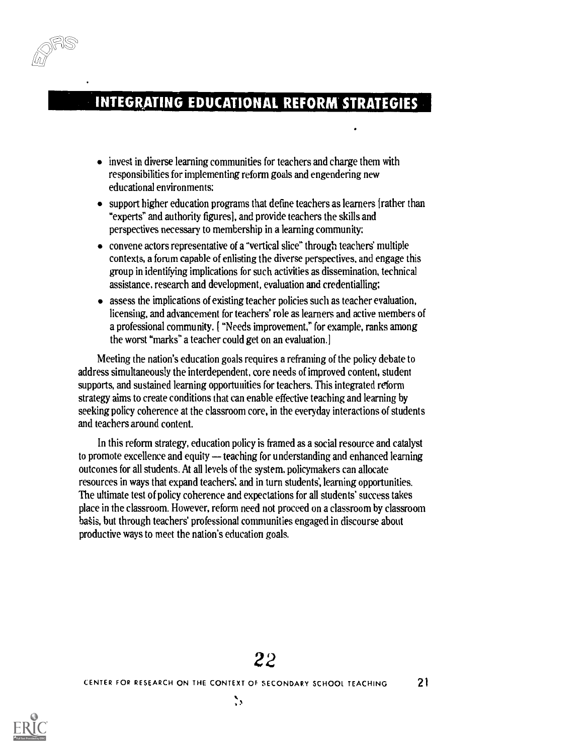#### **INTEGRATING EDUCATIONAL REFORM STRATEGIES**

- invest in diverse learning communities for teachers and charge them with responsibilities for implementing reform goals and engendering new educational environments;
- support higher education programs that define teachers as learners [rather than "experts" and authority figures], and provide teachers the skills and perspectives necessary to membership in a learning community:
- convene actors representative of a "vertical slice" through teachers' multiple contexts, a forum capable of enlisting the diverse perspectives, and engage this group in identifying implications for such activities as dissemination, technical assistance, research and development, evaluation and credentialling;
- assess the implications of existing teacher policies such as teacher evaluation, licensing, and advancement for teachers' role as learners and active members of a professional community. [ "Needs improvement." for example, ranks among the worst "marks" a teacher could get on an evaluation.]

Meeting the nation's education goals requires a reframing of the policy debate to address simultaneously the interdependent, core needs of improved content, student supports, and sustained learning opportunities for teachers. This integrated reform strategy aims to create conditions that can enable effective teaching and learning by seeking policy coherence at the classroom core, in the everyday interactions of students and teachers around content.

In this reform strategy, education policy is framed as a social resource and catalyst to promote excellence and equity - teaching for understanding and enhanced learning outcomes for all students. At all levels of the system, policymakers can allocate resources in ways that expand teachers' and in turn students, learning opportunities. The ultimate test of policy coherence and expectations for all students' success takes place in the classroom. However, reform need not proceed on a classroom by classroom basis, but through teachers' professional communities engaged in discourse about productive ways to meet the nation's education goals.

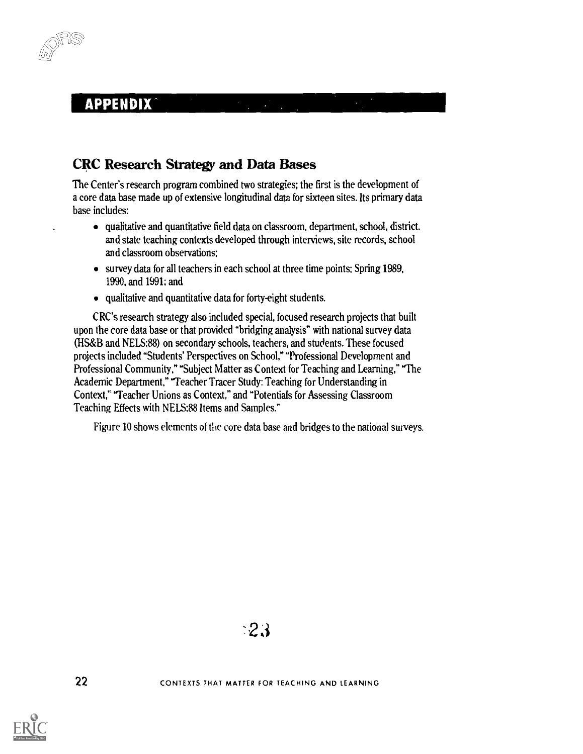#### CRC Research Strategy and Data Bases

The Center's research program combined two strategies; the first is the development of a core data base made up of extensive longitudinal data for sixteen sites. Its primary data base includes:

- qualitative and quantitative field data on classroom, department, school, district, and state teaching contexts developed through interviews, site records, school and classroom observations;
- survey data for all teachers in each school at three time points: Spring 1989, 1990, and 1991: and
- qualitative and quantitative data for forty-eight students.

CRC's research strategy also included special, focused research projects that built upon the core data base or that provided "bridging analysis" with national survey data (HS&B and NELS:88) on secondary schools, teachers, and students. These focused projects included "Students' Perspectives on School," "Professional Development and Professional Community," "Subject Matter as Context for Teaching and Learning," "The Academic Department," "Teacher Tracer Study: Teaching for Understanding in Context," "Teacher Unions as Context," and "Potentials for Assessing Classroom Teaching Effects with NELS:88 Items and Samples."

Figure 10 shows elements of the core data base and bridges to the national surveys.

CONTEXTS THAT MATTER FOR TEACHING AND LEARNING

22

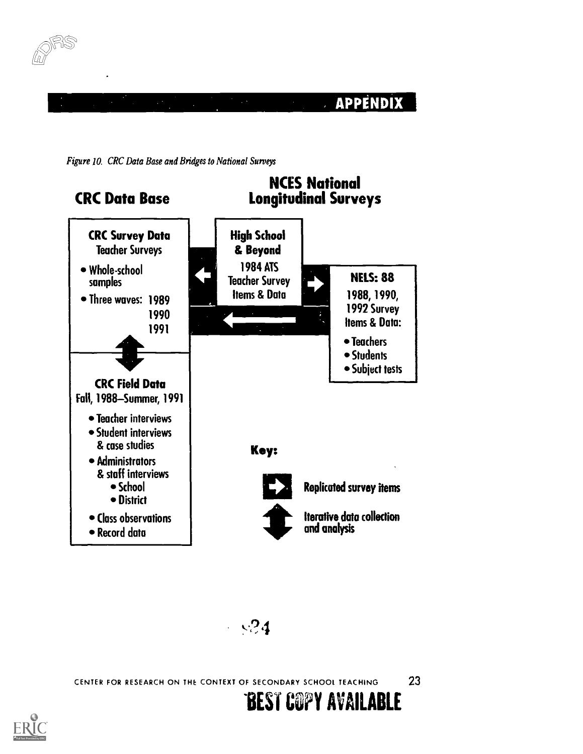







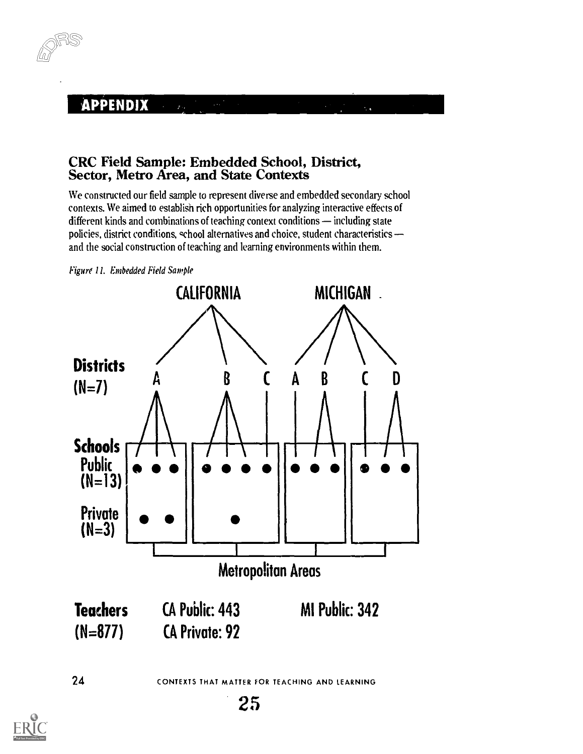

# CRC Field Sample: Embedded School, District, Sector, Metro Area, and State Contexts

We constructed our field sample to represent diverse and embedded secondary school contexts. We aimed to establish rich opportunities for analyzing interactive effects of different kinds and combinations of teaching context conditions  $-$  including state policies, district conditions, school alternatives and choice, student characteristics and the social construction of teaching and learning environments within them.





24 CONTEXTS THAT MATTER FOR TEACHING AND LEARNING

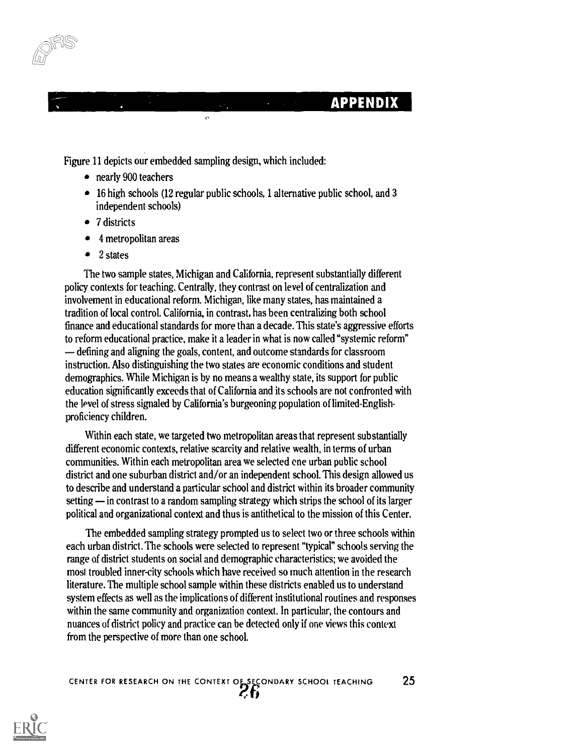

Figure 11 depicts our embedded sampling design, which included:

- nearly 900 teachers
- 16 high schools (12 regular public schools, 1 alternative public school, and 3 independent schools)
- 7 districts
- 4 metropolitan areas
- 2 states

The two sample states, Michigan and California, represent substantially different policy contexts for teaching. Centrally, they contrast on level of centralization and involvement in educational reform. Michigan, like many states, has maintained a tradition of local control. California, in contrast, has been centralizing both school finance and educational standards for more than a decade. This state's aggressive efforts to reform educational practice, make it a leader in what is now called "systemic reform" defining and aligning the goals, content, and outcome standards for classroom instruction. Also distinguishing the two states are economic conditions and student demographics. While Michigan is by no means a wealthy state, its support for public education significantly exceeds that of California and its schools are not confronted with the level of stress signaled by California's burgeoning population of limited-Englishproficiency children.

Within each state, we targeted two metropolitan areas that represent substantially different economic contexts, relative scarcity and relative wealth, in terms of urban communities. Within each metropolitan area we selected one urban public school district and one suburban district and/or an independent school. This design allowed us to describe and understand a particular school and district within its broader community setting — in contrast to a random sampling strategy which strips the school of its larger political and organizational context and thus is antithetical to the mission of this Center.

The embedded sampling strategy prompted us to select two or three schools within each urban district. The schools were selected to represent "typical" schools serving the range of district students on social and demographic characteristics; we avoided the most troubled inner-city schools which have received so much attention in the research literature. The multiple school sample within these districts enabled us to understand system effects as well as the implications of different institutional routines and responses within the same community and organization context. In particular, the contours and nuances of district policy and practice can be detected only if one views this context from the perspective of more than one school.

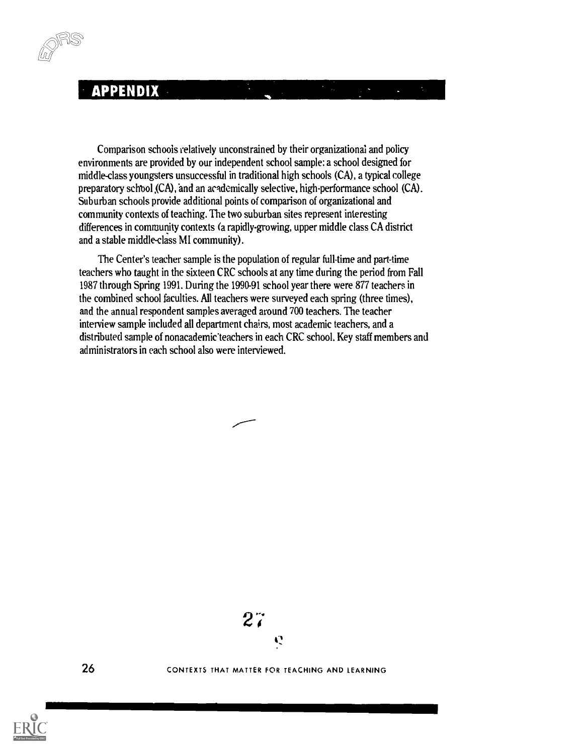Comparison schools relatively unconstrained by their organizational and policy environments are provided by our independent school sample: a school designed for middle-class youngsters unsuccessful in traditional high schools (CA), a typical college preparatory schbol ,(CA), and an academically selective, high-performance school (CA). Suburban schools provide additional points of comparison of organizational and community contexts of teaching. The two suburban sites represent interesting differences in community contexts (a rapidly-growing, upper middle class CA district and a stable middle-class MI community).

The Center's teacher sample is the population of regular full-time and part-time teachers who taught in the sixteen CRC schools at any time during the period from Fall 1987 through Spring 1991. During the 1990-91 school year there were 877 teachers in the combined school faculties. All teachers were surveyed each spring (three times), and the annual respondent samples averaged around 700 teachers. The teacher interview sample included all department chairs, most academic teachers, and a distributed sample of nonacademic teachers in each CRC school. Key staff members and administrators in each school also were interviewed.



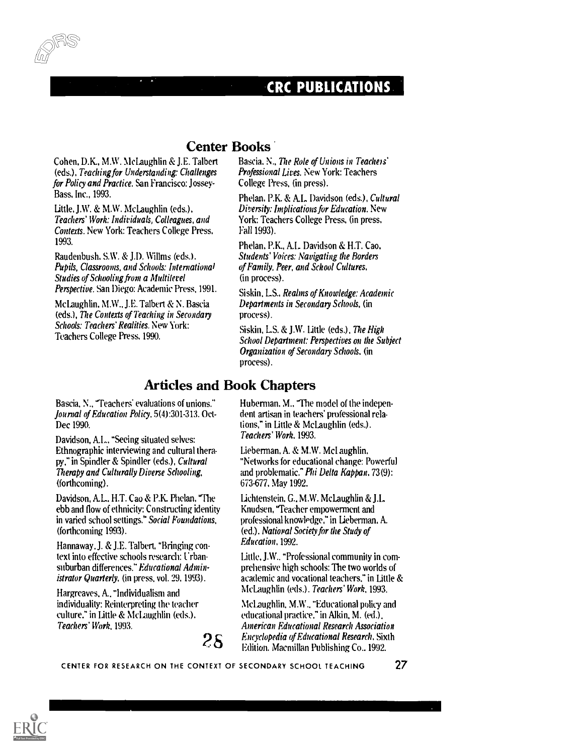#### CRC PUBLICATIONS.

Cohen. D.K., M.W. McLaughlin & J.E. Talbert (eds.), Teaching for Understanding: Challenges for Policy and Practice. San Francisco: Jossey-Bass, Inc., 1993.

Little, J.W. & M.W. McLaughlin (eds.), Teachers' Work: Individuals, Colleagues, and Contexts. New York: Teachers College Press, 1993.

Raudenbush, S.W. & J.D. Willms (eds.). Pupils, Classrooms, and Schools: International Studies of Schooling from a Multilevel Perspective. San Diego: Academic Press, 1991.

McLaughlin, M.W., J.E. Talbert & N. Bascia (eds.), The Contexts of Teaching in Secondary Schools: Teachers' Realities. New York: Teachers College Press, 1990.

#### Center Books

Bascia, N., The Role of Unions in Teachers' Professional Lives. New York: Teachers College Press, (in press).

Phelan, P.K. & A.L. Davidson (eds.), Cultural Diversity: Implications for Education. New York: Teachers College Press, (in press, Fall 1993).

Phelan, P.K., Al. Davidson & H.T. Cao, Students' Voices: Navigating the Borders of Family, Peer, and School Cultures, (in process).

Siskin, LS.. Realms of Knowledge: Academic Departments in Secondary Schools, (in process).

Siskin, LS. & J.W. little (eds.), The High School Department: Perspectives on the Subject Organization of Secondary Schools, (in process).

#### Articles and Book Chapters

Bascia, N., 'Teachers' evaluations of unions." Journal of Education Policy, 5(4):301-313. Oct-Dec 1990.

Davidson, Al., "Seeing situated selves: Ethnographic interviewing and cultural therapy." in Spindler & Spindler (eds.), Cultural Therapy and Culturally Diverse Schooling, (forthcoming).

Davidson, A.L., H.T. Cao & P.K. Phelan, "The ebb and flow of ethnicity: Constructing identity in varied school settings." Social Foundations, (forthcoming 1993).

Hannaway. J. & J.E. Talbert, 'Bringing context into effective schools research: Urbansuburban differences." Educational Administrator Quarterly, (in press, vol. 29, 1993).

Hargreaves, A.. "Individualism and individuality: Reinterpreting the teacher culture." in little & McLaughlin (eds.), Teachers' Work, 1993.

Huberman, M.. "The model of the independent artisan in teachers' professional relations," in Little & McLaughlin (eds.). Teachers' Work. 1993.

Lieberman, A. & M.W. Mcl aughlin, "Networks for educational change: Powerful and problematic." Phi Delta Kappan, 73(9): 673-677. May 1992.

Lichtenstein, G., M.W. McLaughlin & J.L. Knudsen, "Teacher empowerment and professional knowledge," in Lieberman, A. (ed.). National Society for the Study of Education, 1992.

Little, J.W.. "Professional community in comprehensive high schools: The two worlds of academic and vocational teachers." in Little & McLaughlin (eds.), Teachers' Work. 1993.

 $28$   $-$  Encyclopedia of Educational Research, Sixth estimation, Macmillan Publishing Co., 1992. McLaughlin, MN., "Educational policy and educational practice." in Alkin, M. (ed.). American Educational Research Association Edition. Macmillan Publishing Co.. 1992.



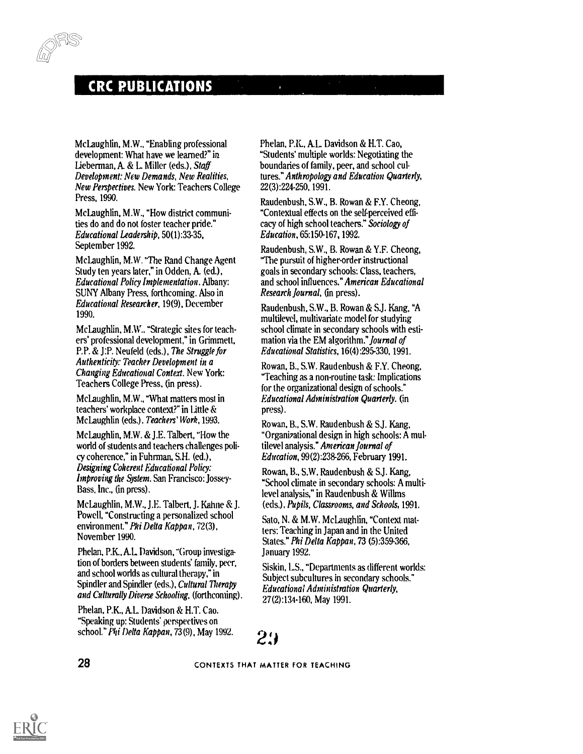#### **CRC PUBLICATIONS**

-u,

McLaughlin, M.W., "Enabling professional development: What have we learned?" in Lieberman, A. & L. Miller (eds.), Staff Development: New Demands, New Realities, New Perspectives. New York: Teachers College Press, 1990.

McLaughlin, M.W., "How district communities do and do not foster teacher pride." Educational Leadership, 50(1):33-35, September 1992.

McLaughlin, M.W. "The Rand Change Agent Study ten years later," in Odden, A. (ed.), Educational Policy Implementation. Albany: SUNY Albany Press, forthcoming. Also in Educational Researcher, 19(9), December 1990.

McLaughlin, M.W., "Strategic sites for teachers' professional development," in Grimmett, P.P. & J:P. Neufeld (eds.), The Struggle for Authenticity: Teacher Development in a Changing Educational Context. New York: Teachers College Press, (in press).

McLaughlin. M.W., "What matters most in teachers' workplace context?" in little & McLaughlin (eds.), Teachers' Work, 1993.

McLaughlin, M.W. & J.E. Talbert, "How the world of students and teachers challenges policy coherence," in Fuhrman, S.H. (ed.), Designing Coherent Educational Policy: Improving the System. San Francisco: Jossey-Bass, Inc., (in press).

McLaughlin, M.W., J.E. Talbert. J. Kahne & J. Powell, "Constructing a personalized school environment." Phi Delta Kabban, 72(3), November 1990.

Phelan, P.K., AL Davidson, "Group investigation of borders between students' family, peer, and school worlds as cultural therapy," in Spindler and Spindler (eds,), Cultural Therapy and Culturally Diverse Schooling, (forthcoming).

Phelan, P.K., A.L. Davidson & H.T. Cao, "Speaking up: Students' perspectives on school." Phi Delta Kappan, 73(9), May 1992. Phelan, P.K., Al. Davidson & H.T. Cao, "Students' multiple worlds: Negotiating the boundaries of family, peer, and school cultures." Anthropology and Education Quarterly, 22(3):224-250, 1991.

Raudenbush, S.W., B. Rowan & F.Y. Cheong, "Contextual effects on the self-perceived efficacy of high school teachers." Sociology of Education, 65:150-167, 1992.

Raudenbush, S.W., B. Rowan & Y.F. Cheong, "The pursuit of higher-order instructional goals in secondary schools: Class, teachers, and school influences."American Educational Research Journal, (in press).

Raudenbush, S.W., B. Rowan & S.J. Kang, "A multilevel, multivariate model for studying school climate in secondary schools with estimation via the EM algorithm." *Journal of* Educational Statistics, 16(4):295- 330,1991.

Rowan, B., S.W. Raudenbush & F.Y. Cheong, "Teaching as a non-routine task: Implications for the organizational design of schools." Educational Administration Quarterly. (in press).

Rowan, B., S.W. Raudenbush & SJ. Kang, "Organizational design in high schools: A multilevel analysis." American Journal of Education, 99(2):238-266, February 1991.

Rowan, B., S.W. Raudenbush & S.J. Kang, "School climate in secondary schools: A multilevel analysis," in Raudenbush & Willms (eds.), Pupils, Classrooms, and Schools, 1991.

Sato, N. & M.W. McLaughlin, "Context matters: Teaching in Japan and in the United States." Phi Delta Kappan, 73 (5):359-366, January 1992.

Siskin, L.S., "Departments as different worlds: Subject subcultures in secondary schools." Educational Administration Quarterly, 27(2):134-160, May 1991.

29

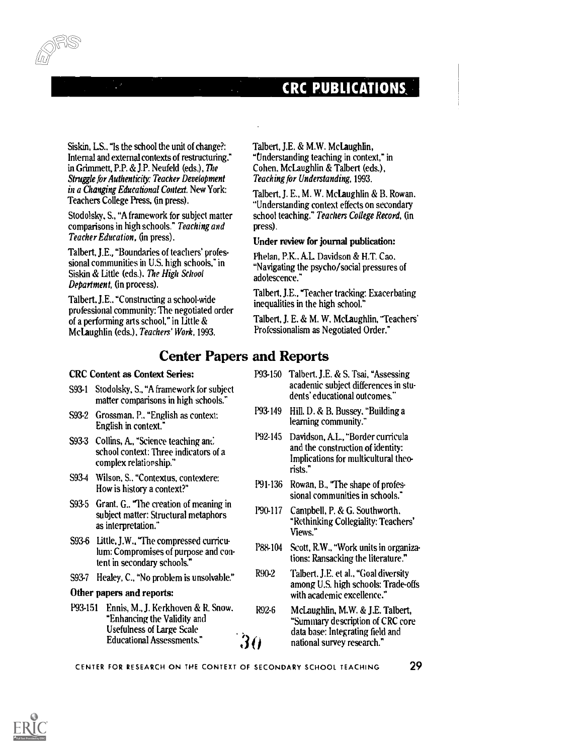#### CRC PUBLICATIONS,

Siskin, LS.. "Is the school the unit of change?: Internal and external contexts of restructuring," in Grimmett, P.P. & J.P. Neufeld (eds.), The Struggle for Authenticity: Teacher Development in a Changing Educational Context. New York: Teachers College Press, (in press).

Stodolsky, S., "A framework for subject matter comparisons in high schools." Teaching and Teacher Education, (in press).

Talbert, J.E., "Boundaries of teachers' professional communities in U.S. high schools," in Siskin & Little (eds.). The High School Department, (in process).

Talbert.J.E., "Constructing a school-wide professional community: The negotiated order of a performing arts school," in little & Mclaughlin (eds.), Teachers' Work, 1993.

Talbert, J.E. & M.W. Mclaughlin, "Understanding teaching in context," in Cohen. McLaughlin & Talbert (eds.), Teaching for Understanding, 1993.

Talbert, J. E., M. W. McLaughlin & B. Rowan. "Understanding context effects on secondary school teaching." Teachers College Record, (in press).

#### Under review for journal publication:

Phelan, P.K. AL Davidson & H.T. Cao. "Navigating the psycho/social pressures of adolescence."

Talbert, J.E., Teacher tracking: Exacerbating inequalities in the high school."

Talbert, J. E. & M. W. McLaughlin, "Teachers' Professionalism as Negotiated Order."

#### Center Papers and Reports

#### CRC Content as Context Series:

- S93-1 Stodolsky, S., "A framework for subject matter comparisons in high schools."
- S93-2 Grossman, P.. "English as context: English in context."
- S93-3 Collins, A., "Science teaching and school context: Three indicators of a complex relationship."
- S93-4 Wilson, S.. "Contextus, contextere: How is history a context?"
- S93-5 Grant. G.. The creation of meaning in subject matter: Structural metaphors as interpretation."
- S93.6 Little, J.W., "The compressed curriculum: Compromises of purpose and content in secondary schools."
- S93-7 Healey, C., "No problem is unsolvable." R90-2

#### Other papers and reports:

P93-151 Ennis, M., J. Kerkhoven & R. Snow, "Enhancing the Validity and Usefulness of Large Scale Educational Assessments."

- P93-150 Talbert, J.E. & S. Tsai, "Assessing academic subject differences in students' educational outcomes."
- P93-149 Hill. D. & B. Bussey. "Building a learning community."
- P92-145 Davidson, AL., "Border curricula and the construction of identity: Implications for multicultural theorists."
- P91.136 Rowan, B., 'The shape of professional communities in schools."
- P90-117 Campbell, P. & G. Southworth, "Rethinking Collegiality: Teachers Views."
- P88-104 Scott, R.W., "Work units in organizations: Ransacking the literature."
	- Talbert. J.E. et al., "Goal diversity among U.S. high schools: Trade-offs with academic excellence."
- R92-6 McLaughlin, M.W. & J.E. Talbert, "Summary description of CRC core data base: Integrating field and  $30<sup>3</sup>$  national survey research."

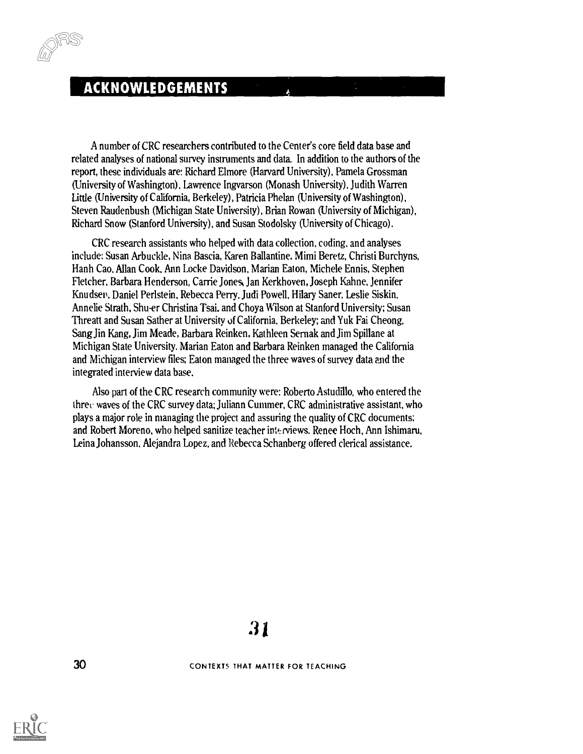#### ACKNOWLEDGEMENTS

A number of CRC researchers contributed to the Center's core field data base and related analyses of national survey instruments and data. In addition to the authors of the report, these individuals are: Richard Elmore (Harvard University), Pamela Grossman (University of Washington), Lawrence Ingvarson (Monash University). Judith Warren Little (University of California, Berkeley), Patricia Phelan (University of Washington), Steven Raudenbush (Michigan State University), Brian Rowan (University of Michigan), Richard Snow (Stanford University), and Susan Stodolsky (University of Chicago).

CRC research assistants who helped with data collection, coding, and analyses include: Susan Arbuckle, Nina Bascia, Karen Ballantine, Mimi Beretz, Christi Burchyns, Hanh Cao, Allan Cook, Ann Locke Davidson, Marian Eaton, Michele Ennis, Stephen Fletcher, Barbara Henderson, Carrie Jones, Jan Kerkhoven, Joseph Kahne, Jennifer Knudsen, Daniel Perlstein, Rebecca Perry, Judi Powell, Hilary Saner, Leslie Siskin, Annelie Strath, Shu-er Christina Tsai. and Choya Wilson at Stanford University; Susan Threatt and Susan Sather at University of California, Berkeley; and Yuk Fai Cheong, Sang Jin Kang, Jim Meade, Barbara Reinken, Kathleen Sernak and Jim Spillane at Michigan State University. Marian Eaton and Barbara Reinken managed the California and Michigan interview files; Eaton managed the three waves of survey data and the integrated interview data base.

Also part of the CRC research community were: Roberto Astudillo, who entered the three waves of the CRC survey data; Juliann Cummer, CRC administrative assistant, who plays a major role in managing the project and assuring the quality of CRC documents; and Robert Moreno, who helped sanitize teacher interviews. Renee Hoch, Ann Ishimaru, Leina Johansson, Alejandra Lopez, and Rebecca Schanberg offered clerical assistance.

30 CONTEXTS THAT MATTER FOR TEACHING